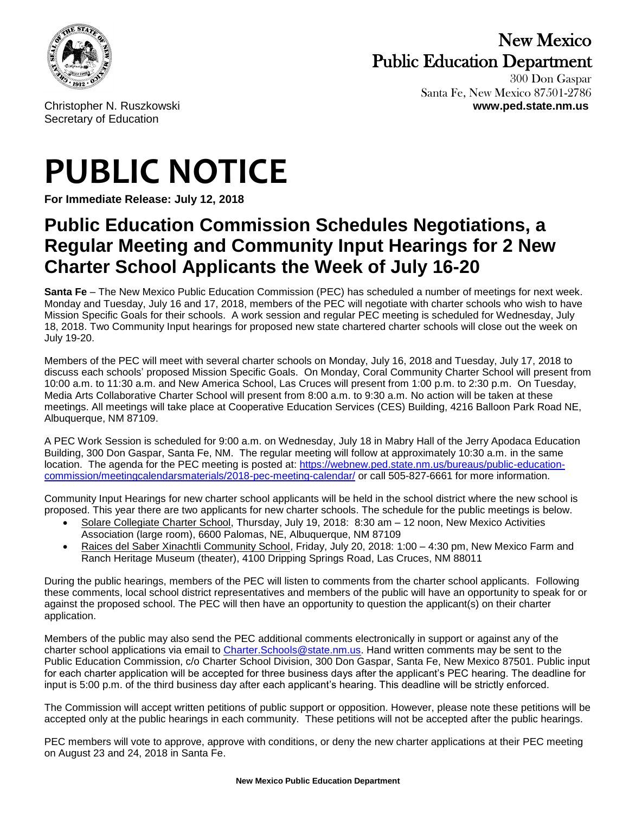

## New Mexico Public Education Department

300 Don Gaspar Santa Fe, New Mexico 87501-2786 Christopher N. Ruszkowski **www.ped.state.nm.us**

Secretary of Education

## **PUBLIC NOTICE**

**For Immediate Release: July 12, 2018**

## **Public Education Commission Schedules Negotiations, a Regular Meeting and Community Input Hearings for 2 New Charter School Applicants the Week of July 16-20**

**Santa Fe** – The New Mexico Public Education Commission (PEC) has scheduled a number of meetings for next week. Monday and Tuesday, July 16 and 17, 2018, members of the PEC will negotiate with charter schools who wish to have Mission Specific Goals for their schools. A work session and regular PEC meeting is scheduled for Wednesday, July 18, 2018. Two Community Input hearings for proposed new state chartered charter schools will close out the week on July 19-20.

Members of the PEC will meet with several charter schools on Monday, July 16, 2018 and Tuesday, July 17, 2018 to discuss each schools' proposed Mission Specific Goals. On Monday, Coral Community Charter School will present from 10:00 a.m. to 11:30 a.m. and New America School, Las Cruces will present from 1:00 p.m. to 2:30 p.m. On Tuesday, Media Arts Collaborative Charter School will present from 8:00 a.m. to 9:30 a.m. No action will be taken at these meetings. All meetings will take place at Cooperative Education Services (CES) Building, 4216 Balloon Park Road NE, Albuquerque, NM 87109.

A PEC Work Session is scheduled for 9:00 a.m. on Wednesday, July 18 in Mabry Hall of the Jerry Apodaca Education Building, 300 Don Gaspar, Santa Fe, NM. The regular meeting will follow at approximately 10:30 a.m. in the same location. The agenda for the PEC meeting is posted at: [https://webnew.ped.state.nm.us/bureaus/public-education](https://webnew.ped.state.nm.us/bureaus/public-education-commission/meetingcalendarsmaterials/2018-pec-meeting-calendar/)[commission/meetingcalendarsmaterials/2018-pec-meeting-calendar/](https://webnew.ped.state.nm.us/bureaus/public-education-commission/meetingcalendarsmaterials/2018-pec-meeting-calendar/) or call 505-827-6661 for more information.

Community Input Hearings for new charter school applicants will be held in the school district where the new school is proposed. This year there are two applicants for new charter schools. The schedule for the public meetings is below.

- Solare Collegiate Charter School, Thursday, July 19, 2018: 8:30 am 12 noon, New Mexico Activities Association (large room), 6600 Palomas, NE, Albuquerque, NM 87109
- Raices del Saber Xinachtli Community School, Friday, July 20, 2018: 1:00 4:30 pm, New Mexico Farm and Ranch Heritage Museum (theater), 4100 Dripping Springs Road, Las Cruces, NM 88011

During the public hearings, members of the PEC will listen to comments from the charter school applicants. Following these comments, local school district representatives and members of the public will have an opportunity to speak for or against the proposed school. The PEC will then have an opportunity to question the applicant(s) on their charter application.

Members of the public may also send the PEC additional comments electronically in support or against any of the charter school applications via email to [Charter.Schools@state.nm.us.](mailto:Charter.Schools@state.nm.us) Hand written comments may be sent to the Public Education Commission, c/o Charter School Division, 300 Don Gaspar, Santa Fe, New Mexico 87501. Public input for each charter application will be accepted for three business days after the applicant's PEC hearing. The deadline for input is 5:00 p.m. of the third business day after each applicant's hearing. This deadline will be strictly enforced.

The Commission will accept written petitions of public support or opposition. However, please note these petitions will be accepted only at the public hearings in each community. These petitions will not be accepted after the public hearings.

PEC members will vote to approve, approve with conditions, or deny the new charter applications at their PEC meeting on August 23 and 24, 2018 in Santa Fe.